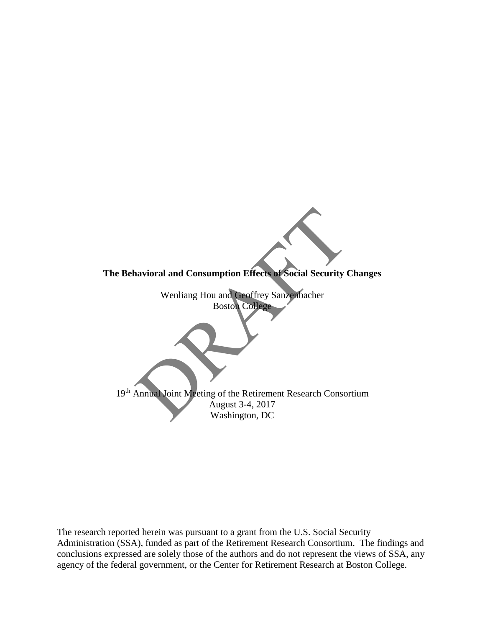

The research reported herein was pursuant to a grant from the U.S. Social Security Administration (SSA), funded as part of the Retirement Research Consortium. The findings and conclusions expressed are solely those of the authors and do not represent the views of SSA, any agency of the federal government, or the Center for Retirement Research at Boston College.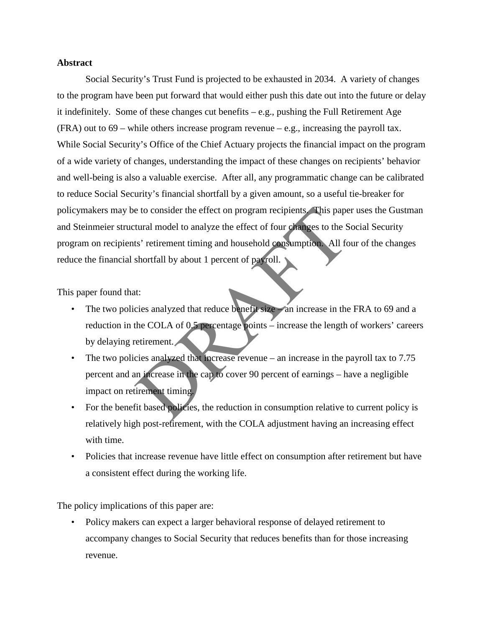# **Abstract**

e to consider the effect on program recipients. This pape<br>tural model to analyze the effect of four changes to the S<br>s' retirement timing and household consumption. All for<br>shortfall by about 1 percent of payroll.<br>tit:<br>tit Social Security's Trust Fund is projected to be exhausted in 2034. A variety of changes to the program have been put forward that would either push this date out into the future or delay it indefinitely. Some of these changes cut benefits – e.g., pushing the Full Retirement Age (FRA) out to 69 – while others increase program revenue – e.g., increasing the payroll tax. While Social Security's Office of the Chief Actuary projects the financial impact on the program of a wide variety of changes, understanding the impact of these changes on recipients' behavior and well-being is also a valuable exercise. After all, any programmatic change can be calibrated to reduce Social Security's financial shortfall by a given amount, so a useful tie-breaker for policymakers may be to consider the effect on program recipients. This paper uses the Gustman and Steinmeier structural model to analyze the effect of four changes to the Social Security program on recipients' retirement timing and household consumption. All four of the changes reduce the financial shortfall by about 1 percent of payroll.

This paper found that:

- The two policies analyzed that reduce benefit size an increase in the FRA to 69 and a reduction in the COLA of 0.5 percentage points – increase the length of workers' careers by delaying retirement.
- The two policies analyzed that increase revenue an increase in the payroll tax to 7.75 percent and an increase in the cap to cover 90 percent of earnings – have a negligible impact on retirement timing.
- For the benefit based policies, the reduction in consumption relative to current policy is relatively high post-retirement, with the COLA adjustment having an increasing effect with time.
- Policies that increase revenue have little effect on consumption after retirement but have a consistent effect during the working life.

The policy implications of this paper are:

• Policy makers can expect a larger behavioral response of delayed retirement to accompany changes to Social Security that reduces benefits than for those increasing revenue.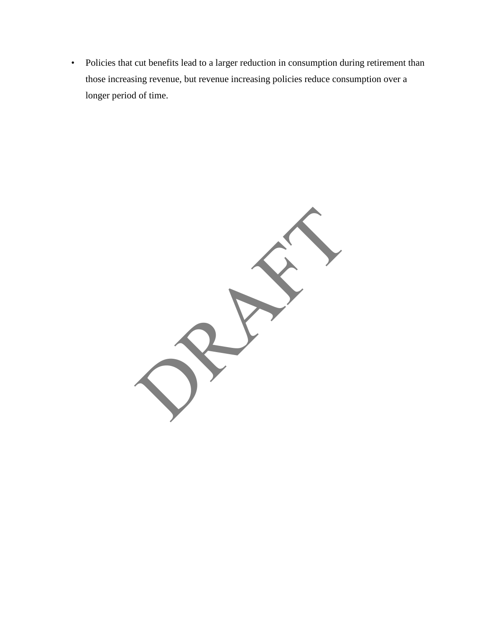• Policies that cut benefits lead to a larger reduction in consumption during retirement than those increasing revenue, but revenue increasing policies reduce consumption over a longer period of time.

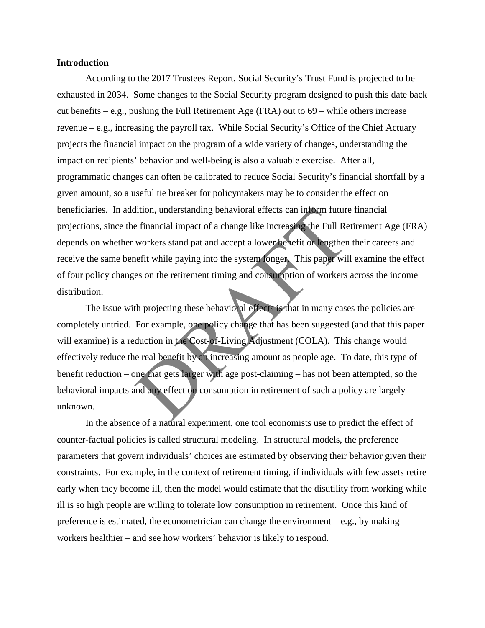#### **Introduction**

 According to the 2017 Trustees Report, Social Security's Trust Fund is projected to be exhausted in 2034. Some changes to the Social Security program designed to push this date back cut benefits – e.g., pushing the Full Retirement Age (FRA) out to 69 – while others increase revenue – e.g., increasing the payroll tax. While Social Security's Office of the Chief Actuary projects the financial impact on the program of a wide variety of changes, understanding the impact on recipients' behavior and well-being is also a valuable exercise. After all, programmatic changes can often be calibrated to reduce Social Security's financial shortfall by a given amount, so a useful tie breaker for policymakers may be to consider the effect on beneficiaries. In addition, understanding behavioral effects can inform future financial projections, since the financial impact of a change like increasing the Full Retirement Age (FRA) depends on whether workers stand pat and accept a lower benefit or lengthen their careers and receive the same benefit while paying into the system longer. This paper will examine the effect of four policy changes on the retirement timing and consumption of workers across the income distribution.

dition, understanding behavioral effects can inform future<br>
e financial impact of a change like increasing the Full Re<br>
workers stand pat and accept a lower benefit or lengthen<br>
nefit while paying into the system onger. Th The issue with projecting these behavioral effects is that in many cases the policies are completely untried. For example, one policy change that has been suggested (and that this paper will examine) is a reduction in the Cost-of-Living Adjustment (COLA). This change would effectively reduce the real benefit by an increasing amount as people age. To date, this type of benefit reduction – one that gets larger with age post-claiming – has not been attempted, so the behavioral impacts and any effect on consumption in retirement of such a policy are largely unknown.

In the absence of a natural experiment, one tool economists use to predict the effect of counter-factual policies is called structural modeling. In structural models, the preference parameters that govern individuals' choices are estimated by observing their behavior given their constraints. For example, in the context of retirement timing, if individuals with few assets retire early when they become ill, then the model would estimate that the disutility from working while ill is so high people are willing to tolerate low consumption in retirement. Once this kind of preference is estimated, the econometrician can change the environment – e.g., by making workers healthier – and see how workers' behavior is likely to respond.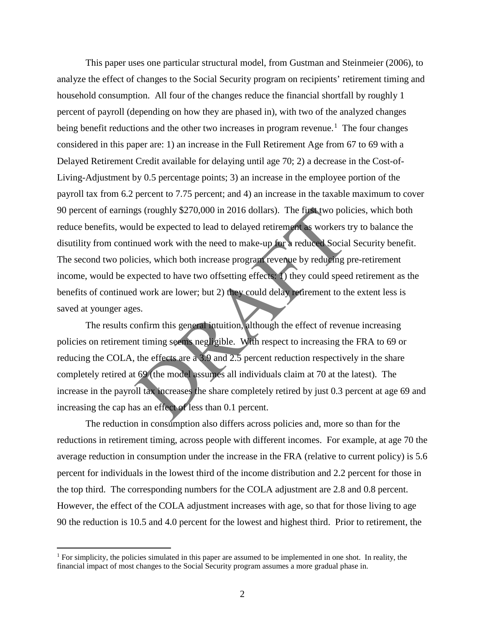gs (roughly \$270,000 in 2016 dollars). The first two policies and the expected to lead to delayed retirement as workers the sum of the expected to lead to delayed retirement as workers the model of the model of the model o This paper uses one particular structural model, from Gustman and Steinmeier (2006), to analyze the effect of changes to the Social Security program on recipients' retirement timing and household consumption. All four of the changes reduce the financial shortfall by roughly 1 percent of payroll (depending on how they are phased in), with two of the analyzed changes being benefit reductions and the other two increases in program revenue.<sup>[1](#page-4-0)</sup> The four changes considered in this paper are: 1) an increase in the Full Retirement Age from 67 to 69 with a Delayed Retirement Credit available for delaying until age 70; 2) a decrease in the Cost-of-Living-Adjustment by 0.5 percentage points; 3) an increase in the employee portion of the payroll tax from 6.2 percent to 7.75 percent; and 4) an increase in the taxable maximum to cover 90 percent of earnings (roughly \$270,000 in 2016 dollars). The first two policies, which both reduce benefits, would be expected to lead to delayed retirement as workers try to balance the disutility from continued work with the need to make-up for a reduced Social Security benefit. The second two policies, which both increase program revenue by reducing pre-retirement income, would be expected to have two offsetting effects: 1) they could speed retirement as the benefits of continued work are lower; but 2) they could delay retirement to the extent less is saved at younger ages.

The results confirm this general intuition, although the effect of revenue increasing policies on retirement timing seems negligible. With respect to increasing the FRA to 69 or reducing the COLA, the effects are a 3.9 and 2.5 percent reduction respectively in the share completely retired at 69 (the model assumes all individuals claim at 70 at the latest). The increase in the payroll tax increases the share completely retired by just 0.3 percent at age 69 and increasing the cap has an effect of less than 0.1 percent.

The reduction in consumption also differs across policies and, more so than for the reductions in retirement timing, across people with different incomes. For example, at age 70 the average reduction in consumption under the increase in the FRA (relative to current policy) is 5.6 percent for individuals in the lowest third of the income distribution and 2.2 percent for those in the top third. The corresponding numbers for the COLA adjustment are 2.8 and 0.8 percent. However, the effect of the COLA adjustment increases with age, so that for those living to age 90 the reduction is 10.5 and 4.0 percent for the lowest and highest third. Prior to retirement, the

 $\overline{a}$ 

<span id="page-4-0"></span><sup>&</sup>lt;sup>1</sup> For simplicity, the policies simulated in this paper are assumed to be implemented in one shot. In reality, the financial impact of most changes to the Social Security program assumes a more gradual phase in.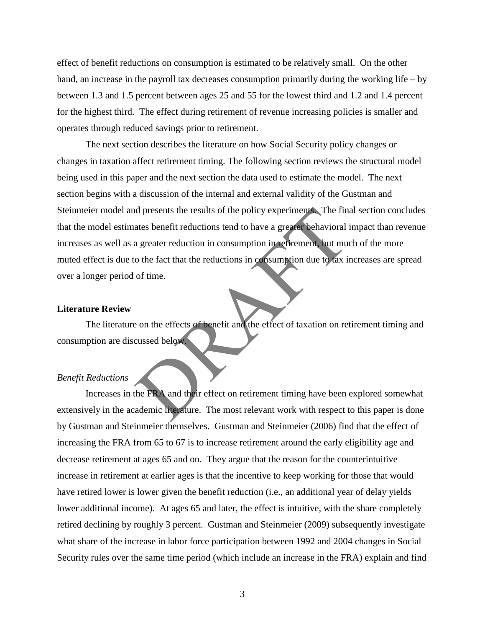effect of benefit reductions on consumption is estimated to be relatively small. On the other hand, an increase in the payroll tax decreases consumption primarily during the working life – by between 1.3 and 1.5 percent between ages 25 and 55 for the lowest third and 1.2 and 1.4 percent for the highest third. The effect during retirement of revenue increasing policies is smaller and operates through reduced savings prior to retirement.

The find a presents the results of the policy experiments. The find a greater reductions tend to have a greater behavioral is a greater reduction in consumption in rethrement, but muon the fact that the reductions in consu The next section describes the literature on how Social Security policy changes or changes in taxation affect retirement timing. The following section reviews the structural model being used in this paper and the next section the data used to estimate the model. The next section begins with a discussion of the internal and external validity of the Gustman and Steinmeier model and presents the results of the policy experiments. The final section concludes that the model estimates benefit reductions tend to have a greater behavioral impact than revenue increases as well as a greater reduction in consumption in retirement, but much of the more muted effect is due to the fact that the reductions in consumption due to tax increases are spread over a longer period of time.

#### **Literature Review**

The literature on the effects of benefit and the effect of taxation on retirement timing and consumption are discussed below.

#### *Benefit Reductions*

Increases in the FRA and their effect on retirement timing have been explored somewhat extensively in the academic literature. The most relevant work with respect to this paper is done by Gustman and Steinmeier themselves. Gustman and Steinmeier (2006) find that the effect of increasing the FRA from 65 to 67 is to increase retirement around the early eligibility age and decrease retirement at ages 65 and on. They argue that the reason for the counterintuitive increase in retirement at earlier ages is that the incentive to keep working for those that would have retired lower is lower given the benefit reduction (i.e., an additional year of delay yields lower additional income). At ages 65 and later, the effect is intuitive, with the share completely retired declining by roughly 3 percent. Gustman and Steinmeier (2009) subsequently investigate what share of the increase in labor force participation between 1992 and 2004 changes in Social Security rules over the same time period (which include an increase in the FRA) explain and find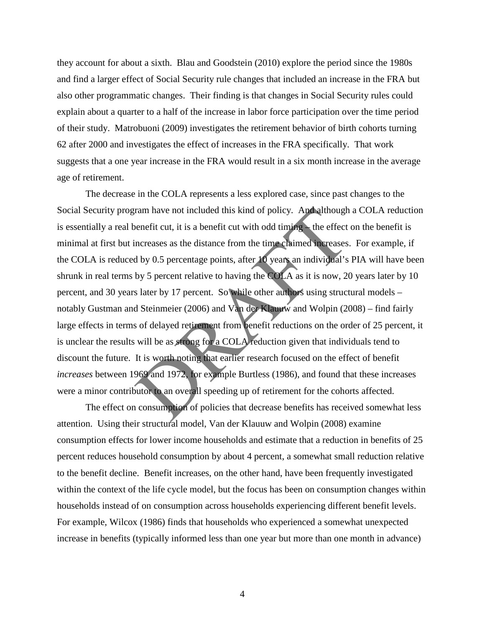they account for about a sixth. Blau and Goodstein (2010) explore the period since the 1980s and find a larger effect of Social Security rule changes that included an increase in the FRA but also other programmatic changes. Their finding is that changes in Social Security rules could explain about a quarter to a half of the increase in labor force participation over the time period of their study. Matrobuoni (2009) investigates the retirement behavior of birth cohorts turning 62 after 2000 and investigates the effect of increases in the FRA specifically. That work suggests that a one year increase in the FRA would result in a six month increase in the average age of retirement.

ram have not included this kind of policy. And although<br>benefit cut, it is a benefit cut with odd timing—the effect<br>ncreases as the distance from the time claimed increases<br>d by 0.5 percentage points, after 10 years an in The decrease in the COLA represents a less explored case, since past changes to the Social Security program have not included this kind of policy. And although a COLA reduction is essentially a real benefit cut, it is a benefit cut with odd timing – the effect on the benefit is minimal at first but increases as the distance from the time claimed increases. For example, if the COLA is reduced by 0.5 percentage points, after 10 years an individual's PIA will have been shrunk in real terms by 5 percent relative to having the COLA as it is now, 20 years later by 10 percent, and 30 years later by 17 percent. So while other authors using structural models – notably Gustman and Steinmeier (2006) and Van der Klauuw and Wolpin (2008) – find fairly large effects in terms of delayed retirement from benefit reductions on the order of 25 percent, it is unclear the results will be as strong for a COLA reduction given that individuals tend to discount the future. It is worth noting that earlier research focused on the effect of benefit *increases* between 1969 and 1972, for example Burtless (1986), and found that these increases were a minor contributor to an overall speeding up of retirement for the cohorts affected.

The effect on consumption of policies that decrease benefits has received somewhat less attention. Using their structural model, Van der Klauuw and Wolpin (2008) examine consumption effects for lower income households and estimate that a reduction in benefits of 25 percent reduces household consumption by about 4 percent, a somewhat small reduction relative to the benefit decline. Benefit increases, on the other hand, have been frequently investigated within the context of the life cycle model, but the focus has been on consumption changes within households instead of on consumption across households experiencing different benefit levels. For example, Wilcox (1986) finds that households who experienced a somewhat unexpected increase in benefits (typically informed less than one year but more than one month in advance)

4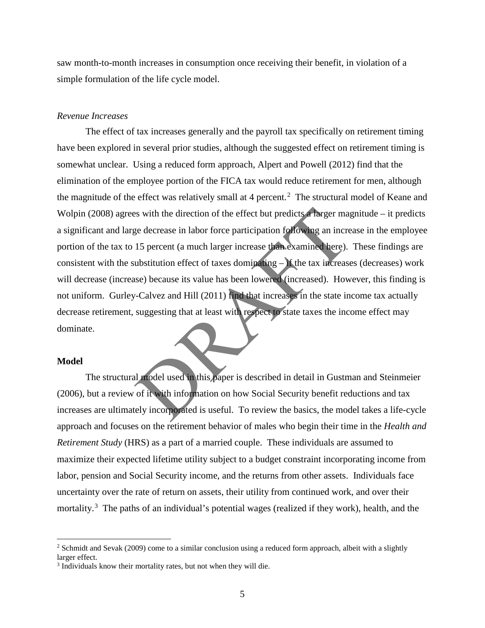saw month-to-month increases in consumption once receiving their benefit, in violation of a simple formulation of the life cycle model.

#### *Revenue Increases*

Solution of the effect but predicts a larger manufactured decrease in labor force participation following an increase decrease in labor force participation following an increase 15 percent (a much larger increase than exam The effect of tax increases generally and the payroll tax specifically on retirement timing have been explored in several prior studies, although the suggested effect on retirement timing is somewhat unclear. Using a reduced form approach, Alpert and Powell (2012) find that the elimination of the employee portion of the FICA tax would reduce retirement for men, although the magnitude of the effect was relatively small at 4 percent.<sup>[2](#page-7-0)</sup> The structural model of Keane and Wolpin (2008) agrees with the direction of the effect but predicts a larger magnitude – it predicts a significant and large decrease in labor force participation following an increase in the employee portion of the tax to 15 percent (a much larger increase than examined here). These findings are consistent with the substitution effect of taxes dominating – if the tax increases (decreases) work will decrease (increase) because its value has been lowered (increased). However, this finding is not uniform. Gurley-Calvez and Hill (2011) find that increases in the state income tax actually decrease retirement, suggesting that at least with respect to state taxes the income effect may dominate.

#### **Model**

 $\overline{a}$ 

 The structural model used in this paper is described in detail in Gustman and Steinmeier (2006), but a review of it with information on how Social Security benefit reductions and tax increases are ultimately incorporated is useful. To review the basics, the model takes a life-cycle approach and focuses on the retirement behavior of males who begin their time in the *Health and Retirement Study* (HRS) as a part of a married couple. These individuals are assumed to maximize their expected lifetime utility subject to a budget constraint incorporating income from labor, pension and Social Security income, and the returns from other assets. Individuals face uncertainty over the rate of return on assets, their utility from continued work, and over their mortality.<sup>[3](#page-7-1)</sup> The paths of an individual's potential wages (realized if they work), health, and the

<span id="page-7-0"></span><sup>&</sup>lt;sup>2</sup> Schmidt and Sevak (2009) come to a similar conclusion using a reduced form approach, albeit with a slightly larger effect.

<span id="page-7-1"></span><sup>&</sup>lt;sup>3</sup> Individuals know their mortality rates, but not when they will die.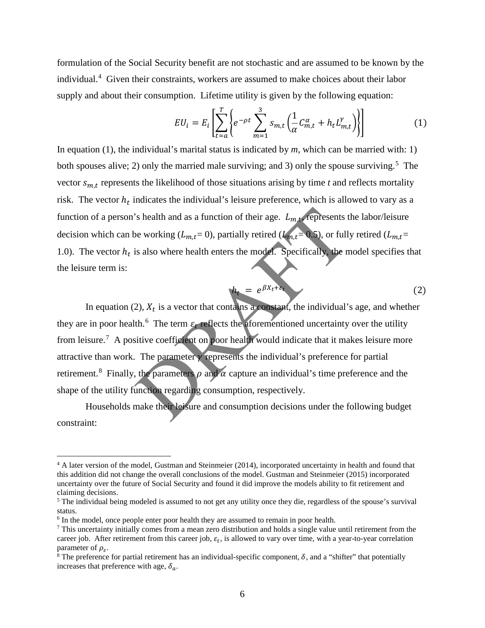formulation of the Social Security benefit are not stochastic and are assumed to be known by the individual.<sup>[4](#page-8-0)</sup> Given their constraints, workers are assumed to make choices about their labor supply and about their consumption. Lifetime utility is given by the following equation:

$$
EU_i = E_i \left[ \sum_{t=a}^T \left\{ e^{-\rho t} \sum_{m=1}^3 s_{m,t} \left( \frac{1}{\alpha} C_{m,t}^{\alpha} + h_t L_{m,t}^{\gamma} \right) \right\} \right]
$$
(1)

In equation (1), the individual's marital status is indicated by *m*, which can be married with: 1) both spouses alive; 2) only the married male surviving; and 3) only the spouse surviving.<sup>[5](#page-8-1)</sup> The vector  $s_{m,t}$  represents the likelihood of those situations arising by time  $t$  and reflects mortality risk. The vector  $h_t$  indicates the individual's leisure preference, which is allowed to vary as a function of a person's health and as a function of their age.  $L_{m,t}$ , represents the labor/leisure decision which can be working  $(L_{m,t}=0)$ , partially retired  $(L_{m,t}=0.5)$ , or fully retired  $(L_{m,t}=0)$ 1.0). The vector  $h_t$  is also where health enters the model. Specifically, the model specifies that the leisure term is:

$$
h_t = e^{\beta X_t + \varepsilon_t} \tag{2}
$$

is health and as a function of their age.  $L_{m,t}$ , represents the working  $(L_{m,t} = 0)$ , partially retired  $(L_{m,t} = 0.5)$ , or full is also where health enters the model. Specifically, the n<br>  $h_t = e^{\beta X_t + \delta t}$ <br>
2),  $X_t$  is a v In equation (2),  $X_t$  is a vector that contains a constant, the individual's age, and whether they are in poor health.<sup>6</sup> The term  $\varepsilon_t$  reflects the aforementioned uncertainty over the utility from leisure.<sup>[7](#page-8-3)</sup> A positive coefficient on poor health would indicate that it makes leisure more attractive than work. The parameter  $\gamma$  represents the individual's preference for partial retirement.<sup>[8](#page-8-4)</sup> Finally, the parameters  $\rho$  and  $\alpha$  capture an individual's time preference and the shape of the utility function regarding consumption, respectively.

Households make their leisure and consumption decisions under the following budget constraint:

 $\overline{a}$ 

<span id="page-8-0"></span><sup>&</sup>lt;sup>4</sup> A later version of the model, Gustman and Steinmeier (2014), incorporated uncertainty in health and found that this addition did not change the overall conclusions of the model. Gustman and Steinmeier (2015) incorporated uncertainty over the future of Social Security and found it did improve the models ability to fit retirement and claiming decisions.

<span id="page-8-1"></span><sup>&</sup>lt;sup>5</sup> The individual being modeled is assumed to not get any utility once they die, regardless of the spouse's survival status.

<span id="page-8-2"></span><sup>&</sup>lt;sup>6</sup> In the model, once people enter poor health they are assumed to remain in poor health.

<span id="page-8-3"></span> $7$  This uncertainty initially comes from a mean zero distribution and holds a single value until retirement from the career job. After retirement from this career job,  $\varepsilon_t$ , is allowed to vary over time, with a year-to-year correlation parameter of  $\rho_s$ .

<span id="page-8-4"></span><sup>&</sup>lt;sup>8</sup> The preference for partial retirement has an individual-specific component,  $\delta$ , and a "shifter" that potentially increases that preference with age,  $\delta_a$ .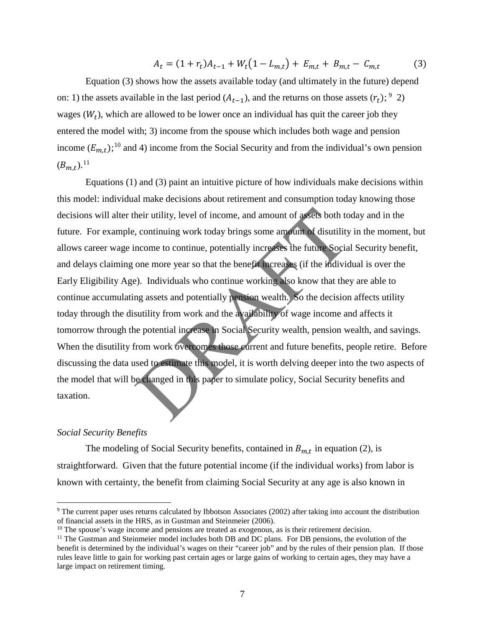$$
A_t = (1 + r_t)A_{t-1} + W_t(1 - L_{m,t}) + E_{m,t} + B_{m,t} - C_{m,t}
$$
(3)

Equation (3) shows how the assets available today (and ultimately in the future) depend on: 1) the assets available in the last period  $(A_{t-1})$ , and the returns on those assets  $(r_t)$ ; <sup>[9](#page-9-0)</sup> 2) wages  $(W_t)$ , which are allowed to be lower once an individual has quit the career job they entered the model with; 3) income from the spouse which includes both wage and pension income  $(E_{m,t})$ ;<sup>10</sup> and 4) income from the Social Security and from the individual's own pension  $(B_{m,t}).^{11}$  $(B_{m,t}).^{11}$  $(B_{m,t}).^{11}$ 

their utility, level of income, and amount of assets both to<br>
, continuing work today brings some amount of disutility<br>
ncome to continue, potentially increases the future Socia<br>
one more year so that the benefit increases Equations (1) and (3) paint an intuitive picture of how individuals make decisions within this model: individual make decisions about retirement and consumption today knowing those decisions will alter their utility, level of income, and amount of assets both today and in the future. For example, continuing work today brings some amount of disutility in the moment, but allows career wage income to continue, potentially increases the future Social Security benefit, and delays claiming one more year so that the benefit increases (if the individual is over the Early Eligibility Age). Individuals who continue working also know that they are able to continue accumulating assets and potentially pension wealth. So the decision affects utility today through the disutility from work and the availability of wage income and affects it tomorrow through the potential increase in Social Security wealth, pension wealth, and savings. When the disutility from work overcomes those current and future benefits, people retire. Before discussing the data used to estimate this model, it is worth delving deeper into the two aspects of the model that will be changed in this paper to simulate policy, Social Security benefits and taxation.

# *Social Security Benefits*

 $\overline{a}$ 

The modeling of Social Security benefits, contained in  $B_{m,t}$  in equation (2), is straightforward. Given that the future potential income (if the individual works) from labor is known with certainty, the benefit from claiming Social Security at any age is also known in

<span id="page-9-0"></span><sup>9</sup> The current paper uses returns calculated by Ibbotson Associates (2002) after taking into account the distribution of financial assets in the HRS, as in Gustman and Steinmeier (2006).<br><sup>10</sup> The spouse's wage income and pensions are treated as exogenous, as is their retirement decision.

<span id="page-9-1"></span>

<span id="page-9-2"></span> $11$  The Gustman and Steinmeier model includes both DB and DC plans. For DB pensions, the evolution of the benefit is determined by the individual's wages on their "career job" and by the rules of their pension plan. If those rules leave little to gain for working past certain ages or large gains of working to certain ages, they may have a large impact on retirement timing.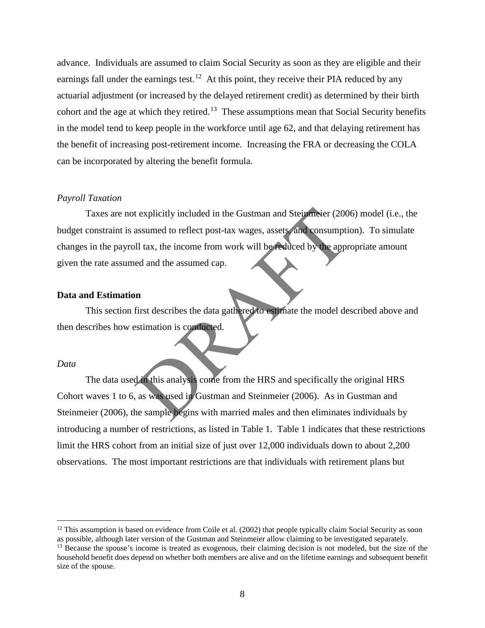advance. Individuals are assumed to claim Social Security as soon as they are eligible and their earnings fall under the earnings test.<sup>12</sup> At this point, they receive their PIA reduced by any actuarial adjustment (or increased by the delayed retirement credit) as determined by their birth cohort and the age at which they retired.<sup>13</sup> These assumptions mean that Social Security benefits in the model tend to keep people in the workforce until age 62, and that delaying retirement has the benefit of increasing post-retirement income. Increasing the FRA or decreasing the COLA can be incorporated by altering the benefit formula.

# *Payroll Taxation*

Explicitly included in the Gustman and Steinmeier (200<br>assumed to reflect post-tax wages, assets, and consumpti<br>ill tax, the income from work will be reduced by the appr<br>ed and the assumed cap.<br>**n**<br>**n**<br>**n**<br>**i** first descri Taxes are not explicitly included in the Gustman and Steinmeier (2006) model (i.e., the budget constraint is assumed to reflect post-tax wages, assets, and consumption). To simulate changes in the payroll tax, the income from work will be reduced by the appropriate amount given the rate assumed and the assumed cap.

#### **Data and Estimation**

 This section first describes the data gathered to estimate the model described above and then describes how estimation is conducted.

#### *Data*

 $\overline{a}$ 

The data used in this analysis come from the HRS and specifically the original HRS Cohort waves 1 to 6, as was used in Gustman and Steinmeier (2006). As in Gustman and Steinmeier (2006), the sample begins with married males and then eliminates individuals by introducing a number of restrictions, as listed in Table 1. Table 1 indicates that these restrictions limit the HRS cohort from an initial size of just over 12,000 individuals down to about 2,200 observations. The most important restrictions are that individuals with retirement plans but

<span id="page-10-0"></span> $12$  This assumption is based on evidence from Coile et al. (2002) that people typically claim Social Security as soon as possible, although later version of the Gustman and Steinmeier allow claiming to be investigated separately.

<span id="page-10-1"></span><sup>&</sup>lt;sup>13</sup> Because the spouse's income is treated as exogenous, their claiming decision is not modeled, but the size of the household benefit does depend on whether both members are alive and on the lifetime earnings and subsequent benefit size of the spouse.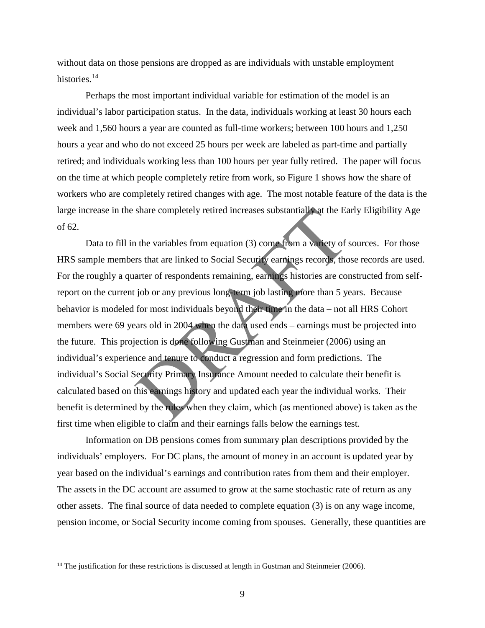without data on those pensions are dropped as are individuals with unstable employment histories.<sup>[14](#page-11-0)</sup>

 Perhaps the most important individual variable for estimation of the model is an individual's labor participation status. In the data, individuals working at least 30 hours each week and 1,560 hours a year are counted as full-time workers; between 100 hours and 1,250 hours a year and who do not exceed 25 hours per week are labeled as part-time and partially retired; and individuals working less than 100 hours per year fully retired. The paper will focus on the time at which people completely retire from work, so Figure 1 shows how the share of workers who are completely retired changes with age. The most notable feature of the data is the large increase in the share completely retired increases substantially at the Early Eligibility Age of 62.

share completely retired increases substantially at the Ea<br>
1 the variables from equation (3) come from a variety of s<br>
1 the variables from equation (3) come from a variety of s<br>
1 as variety of s<br>
1 as variety of s<br>
1 as Data to fill in the variables from equation (3) come from a variety of sources. For those HRS sample members that are linked to Social Security earnings records, those records are used. For the roughly a quarter of respondents remaining, earnings histories are constructed from selfreport on the current job or any previous long-term job lasting more than 5 years. Because behavior is modeled for most individuals beyond their time in the data – not all HRS Cohort members were 69 years old in 2004 when the data used ends – earnings must be projected into the future. This projection is done following Gustman and Steinmeier (2006) using an individual's experience and tenure to conduct a regression and form predictions. The individual's Social Security Primary Insurance Amount needed to calculate their benefit is calculated based on this earnings history and updated each year the individual works. Their benefit is determined by the rules when they claim, which (as mentioned above) is taken as the first time when eligible to claim and their earnings falls below the earnings test.

Information on DB pensions comes from summary plan descriptions provided by the individuals' employers. For DC plans, the amount of money in an account is updated year by year based on the individual's earnings and contribution rates from them and their employer. The assets in the DC account are assumed to grow at the same stochastic rate of return as any other assets. The final source of data needed to complete equation (3) is on any wage income, pension income, or Social Security income coming from spouses. Generally, these quantities are

 $\overline{a}$ 

<span id="page-11-0"></span><sup>&</sup>lt;sup>14</sup> The justification for these restrictions is discussed at length in Gustman and Steinmeier (2006).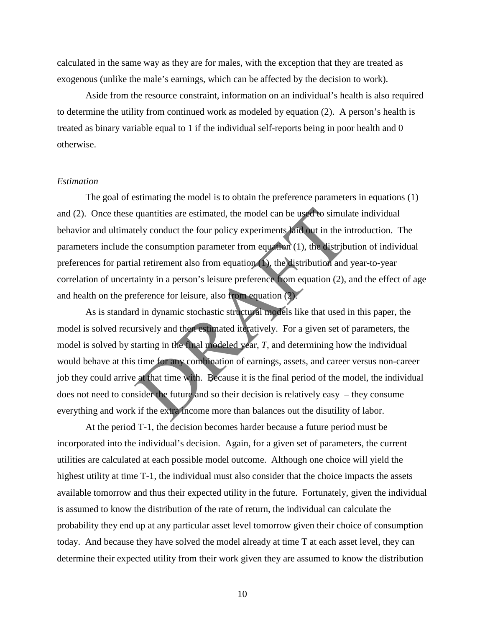calculated in the same way as they are for males, with the exception that they are treated as exogenous (unlike the male's earnings, which can be affected by the decision to work).

Aside from the resource constraint, information on an individual's health is also required to determine the utility from continued work as modeled by equation (2). A person's health is treated as binary variable equal to 1 if the individual self-reports being in poor health and 0 otherwise.

#### *Estimation*

The goal of estimating the model is to obtain the preference parameters in equations (1) and (2). Once these quantities are estimated, the model can be used to simulate individual behavior and ultimately conduct the four policy experiments laid out in the introduction. The parameters include the consumption parameter from equation (1), the distribution of individual preferences for partial retirement also from equation (1), the distribution and year-to-year correlation of uncertainty in a person's leisure preference from equation (2), and the effect of age and health on the preference for leisure, also from equation (2).

quantities are estimated, the model can be used to simulately conduct the four policy experiments laid out in the in the consumption parameter from equation (1), the distribution and ainty in a person's leisure preference As is standard in dynamic stochastic structural models like that used in this paper, the model is solved recursively and then estimated iteratively. For a given set of parameters, the model is solved by starting in the final modeled year, *T*, and determining how the individual would behave at this time for any combination of earnings, assets, and career versus non-career job they could arrive at that time with. Because it is the final period of the model, the individual does not need to consider the future and so their decision is relatively easy – they consume everything and work if the extra income more than balances out the disutility of labor.

At the period T-1, the decision becomes harder because a future period must be incorporated into the individual's decision. Again, for a given set of parameters, the current utilities are calculated at each possible model outcome. Although one choice will yield the highest utility at time T-1, the individual must also consider that the choice impacts the assets available tomorrow and thus their expected utility in the future. Fortunately, given the individual is assumed to know the distribution of the rate of return, the individual can calculate the probability they end up at any particular asset level tomorrow given their choice of consumption today. And because they have solved the model already at time T at each asset level, they can determine their expected utility from their work given they are assumed to know the distribution

10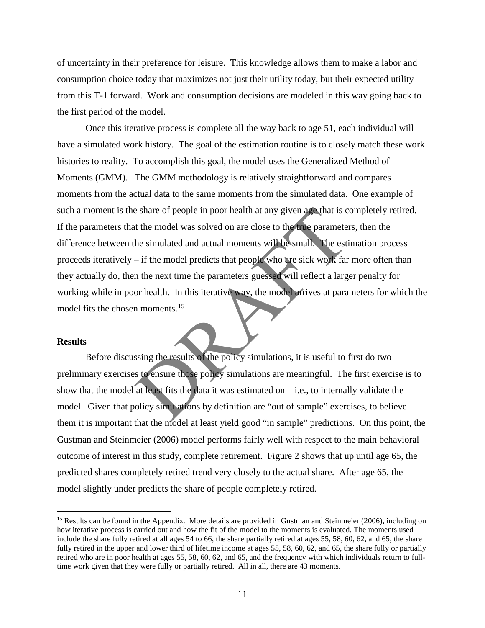of uncertainty in their preference for leisure. This knowledge allows them to make a labor and consumption choice today that maximizes not just their utility today, but their expected utility from this T-1 forward. Work and consumption decisions are modeled in this way going back to the first period of the model.

Expectite the model was solved on are close to the true parameter<br>the simulated and actual moments will be small. The esti-<br>if the model predicts that people who are sick work far<br>of the model predicts that people who are Once this iterative process is complete all the way back to age 51, each individual will have a simulated work history. The goal of the estimation routine is to closely match these work histories to reality. To accomplish this goal, the model uses the Generalized Method of Moments (GMM). The GMM methodology is relatively straightforward and compares moments from the actual data to the same moments from the simulated data. One example of such a moment is the share of people in poor health at any given age that is completely retired. If the parameters that the model was solved on are close to the true parameters, then the difference between the simulated and actual moments will be small. The estimation process proceeds iteratively – if the model predicts that people who are sick work far more often than they actually do, then the next time the parameters guessed will reflect a larger penalty for working while in poor health. In this iterative way, the model arrives at parameters for which the model fits the chosen moments.<sup>15</sup>

#### **Results**

 $\overline{a}$ 

Before discussing the results of the policy simulations, it is useful to first do two preliminary exercises to ensure those policy simulations are meaningful. The first exercise is to show that the model at least fits the data it was estimated on  $-$  i.e., to internally validate the model. Given that policy simulations by definition are "out of sample" exercises, to believe them it is important that the model at least yield good "in sample" predictions. On this point, the Gustman and Steinmeier (2006) model performs fairly well with respect to the main behavioral outcome of interest in this study, complete retirement. Figure 2 shows that up until age 65, the predicted shares completely retired trend very closely to the actual share. After age 65, the model slightly under predicts the share of people completely retired.

<span id="page-13-0"></span><sup>&</sup>lt;sup>15</sup> Results can be found in the Appendix. More details are provided in Gustman and Steinmeier (2006), including on how iterative process is carried out and how the fit of the model to the moments is evaluated. The moments used include the share fully retired at all ages 54 to 66, the share partially retired at ages 55, 58, 60, 62, and 65, the share fully retired in the upper and lower third of lifetime income at ages 55, 58, 60, 62, and 65, the share fully or partially retired who are in poor health at ages 55, 58, 60, 62, and 65, and the frequency with which individuals return to fulltime work given that they were fully or partially retired. All in all, there are 43 moments.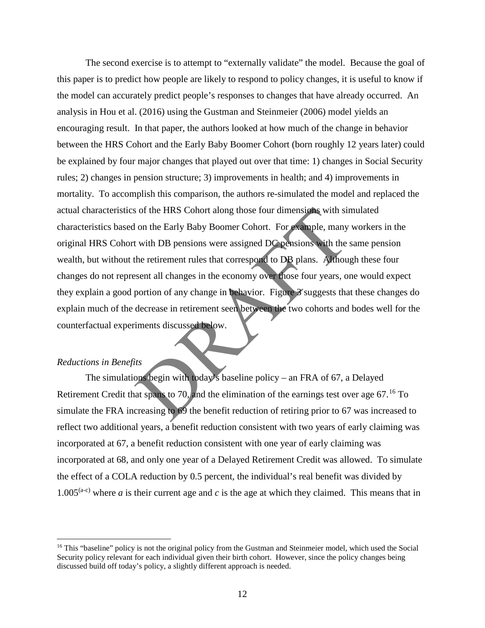or the HRS Cohort along those four dimensions with situation the Early Baby Boomer Cohort. For example, many<br>twith DB pensions were assigned DC pensions with the<br>the retirement rules that correspond to DB plans. Althouse<br>t The second exercise is to attempt to "externally validate" the model. Because the goal of this paper is to predict how people are likely to respond to policy changes, it is useful to know if the model can accurately predict people's responses to changes that have already occurred. An analysis in Hou et al. (2016) using the Gustman and Steinmeier (2006) model yields an encouraging result. In that paper, the authors looked at how much of the change in behavior between the HRS Cohort and the Early Baby Boomer Cohort (born roughly 12 years later) could be explained by four major changes that played out over that time: 1) changes in Social Security rules; 2) changes in pension structure; 3) improvements in health; and 4) improvements in mortality. To accomplish this comparison, the authors re-simulated the model and replaced the actual characteristics of the HRS Cohort along those four dimensions with simulated characteristics based on the Early Baby Boomer Cohort. For example, many workers in the original HRS Cohort with DB pensions were assigned DC pensions with the same pension wealth, but without the retirement rules that correspond to DB plans. Although these four changes do not represent all changes in the economy over those four years, one would expect they explain a good portion of any change in behavior. Figure 3 suggests that these changes do explain much of the decrease in retirement seen between the two cohorts and bodes well for the counterfactual experiments discussed below.

## *Reductions in Benefits*

 $\overline{a}$ 

 The simulations begin with today's baseline policy – an FRA of 67, a Delayed Retirement Credit that spans to 70, and the elimination of the earnings test over age  $67<sup>16</sup>$  $67<sup>16</sup>$  $67<sup>16</sup>$  To simulate the FRA increasing to 69 the benefit reduction of retiring prior to 67 was increased to reflect two additional years, a benefit reduction consistent with two years of early claiming was incorporated at 67, a benefit reduction consistent with one year of early claiming was incorporated at 68, and only one year of a Delayed Retirement Credit was allowed. To simulate the effect of a COLA reduction by 0.5 percent, the individual's real benefit was divided by 1.005<sup>(a-c)</sup> where *a* is their current age and *c* is the age at which they claimed. This means that in

<span id="page-14-0"></span><sup>&</sup>lt;sup>16</sup> This "baseline" policy is not the original policy from the Gustman and Steinmeier model, which used the Social Security policy relevant for each individual given their birth cohort. However, since the policy changes being discussed build off today's policy, a slightly different approach is needed.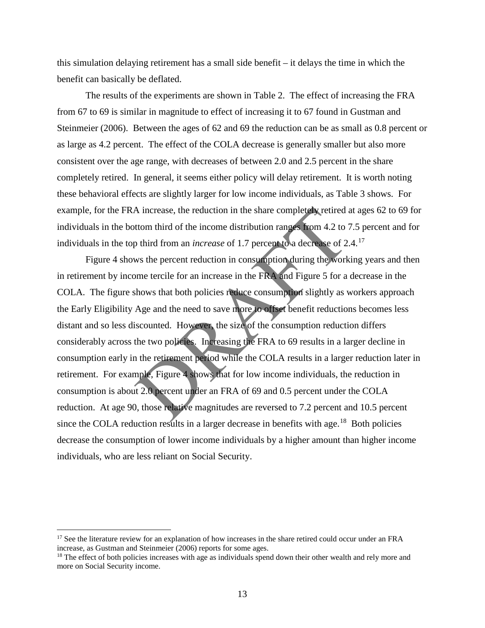this simulation delaying retirement has a small side benefit – it delays the time in which the benefit can basically be deflated.

The results of the experiments are shown in Table 2. The effect of increasing the FRA from 67 to 69 is similar in magnitude to effect of increasing it to 67 found in Gustman and Steinmeier (2006). Between the ages of 62 and 69 the reduction can be as small as 0.8 percent or as large as 4.2 percent. The effect of the COLA decrease is generally smaller but also more consistent over the age range, with decreases of between 2.0 and 2.5 percent in the share completely retired. In general, it seems either policy will delay retirement. It is worth noting these behavioral effects are slightly larger for low income individuals, as Table 3 shows. For example, for the FRA increase, the reduction in the share completely retired at ages 62 to 69 for individuals in the bottom third of the income distribution ranges from 4.2 to 7.5 percent and for individuals in the top third from an *increase* of 1.7 percent to a decrease of 2.4.<sup>[17](#page-15-0)</sup>

A increase, the reduction in the share completely retired at tom third of the income distribution ranges from 4.2 to 7 p third from an *increase* of 1.7 percent to a decrease of 2. ws the percent reduction in consumption Figure 4 shows the percent reduction in consumption during the working years and then in retirement by income tercile for an increase in the FRA and Figure 5 for a decrease in the COLA. The figure shows that both policies reduce consumption slightly as workers approach the Early Eligibility Age and the need to save more to offset benefit reductions becomes less distant and so less discounted. However, the size of the consumption reduction differs considerably across the two policies. Increasing the FRA to 69 results in a larger decline in consumption early in the retirement period while the COLA results in a larger reduction later in retirement. For example, Figure 4 shows that for low income individuals, the reduction in consumption is about 2.0 percent under an FRA of 69 and 0.5 percent under the COLA reduction. At age 90, those relative magnitudes are reversed to 7.2 percent and 10.5 percent since the COLA reduction results in a larger decrease in benefits with age.<sup>18</sup> Both policies decrease the consumption of lower income individuals by a higher amount than higher income individuals, who are less reliant on Social Security.

 $\overline{a}$ 

<span id="page-15-0"></span><sup>&</sup>lt;sup>17</sup> See the literature review for an explanation of how increases in the share retired could occur under an FRA increase, as Gustman and Steinmeier (2006) reports for some ages.

<span id="page-15-1"></span><sup>&</sup>lt;sup>18</sup> The effect of both policies increases with age as individuals spend down their other wealth and rely more and more on Social Security income.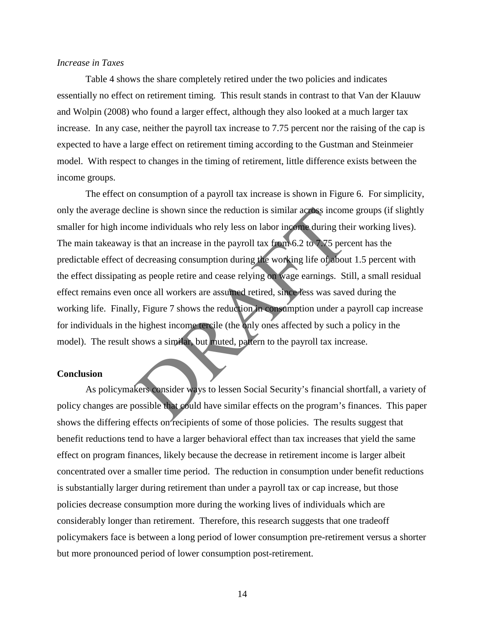## *Increase in Taxes*

 Table 4 shows the share completely retired under the two policies and indicates essentially no effect on retirement timing. This result stands in contrast to that Van der Klauuw and Wolpin (2008) who found a larger effect, although they also looked at a much larger tax increase. In any case, neither the payroll tax increase to 7.75 percent nor the raising of the cap is expected to have a large effect on retirement timing according to the Gustman and Steinmeier model. With respect to changes in the timing of retirement, little difference exists between the income groups.

line is shown since the reduction is similar across incom-<br>the individuals who rely less on labor income during the<br>is that an increase in the payroll tax from 6.2 to 7.75 perc<br>decreasing consumption during the working lif The effect on consumption of a payroll tax increase is shown in Figure 6. For simplicity, only the average decline is shown since the reduction is similar across income groups (if slightly smaller for high income individuals who rely less on labor income during their working lives). The main takeaway is that an increase in the payroll tax from 6.2 to 7.75 percent has the predictable effect of decreasing consumption during the working life of about 1.5 percent with the effect dissipating as people retire and cease relying on wage earnings. Still, a small residual effect remains even once all workers are assumed retired, since less was saved during the working life. Finally, Figure 7 shows the reduction in consumption under a payroll cap increase for individuals in the highest income tercile (the only ones affected by such a policy in the model). The result shows a similar, but muted, pattern to the payroll tax increase.

#### **Conclusion**

 As policymakers consider ways to lessen Social Security's financial shortfall, a variety of policy changes are possible that could have similar effects on the program's finances. This paper shows the differing effects on recipients of some of those policies. The results suggest that benefit reductions tend to have a larger behavioral effect than tax increases that yield the same effect on program finances, likely because the decrease in retirement income is larger albeit concentrated over a smaller time period. The reduction in consumption under benefit reductions is substantially larger during retirement than under a payroll tax or cap increase, but those policies decrease consumption more during the working lives of individuals which are considerably longer than retirement. Therefore, this research suggests that one tradeoff policymakers face is between a long period of lower consumption pre-retirement versus a shorter but more pronounced period of lower consumption post-retirement.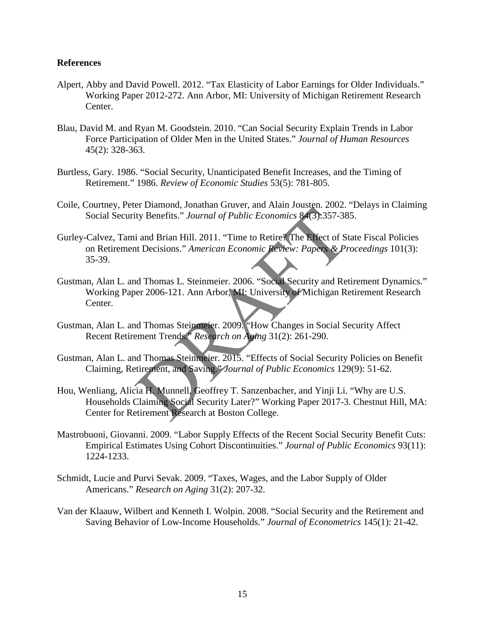## **References**

- Alpert, Abby and David Powell. 2012. "Tax Elasticity of Labor Earnings for Older Individuals." Working Paper 2012-272. Ann Arbor, MI: University of Michigan Retirement Research Center.
- Blau, David M. and Ryan M. Goodstein. 2010. "Can Social Security Explain Trends in Labor Force Participation of Older Men in the United States." *Journal of Human Resources* 45(2): 328-363.
- Burtless, Gary. 1986. "Social Security, Unanticipated Benefit Increases, and the Timing of Retirement." 1986. *Review of Economic Studies* 53(5): 781-805.
- Coile, Courtney, Peter Diamond, Jonathan Gruver, and Alain Jousten. 2002. "Delays in Claiming Social Security Benefits." *Journal of Public Economics* 84(3):357-385.
- Gurley-Calvez, Tami and Brian Hill. 2011. "Time to Retire? The Effect of State Fiscal Policies on Retirement Decisions." *American Economic Review: Papers & Proceedings* 101(3): 35-39.
- Gustman, Alan L. and Thomas L. Steinmeier. 2006. "Social Security and Retirement Dynamics." Working Paper 2006-121. Ann Arbor, MI: University of Michigan Retirement Research Center.
- Gustman, Alan L. and Thomas Steinmeier. 2009. "How Changes in Social Security Affect Recent Retirement Trends." *Research on Aging* 31(2): 261-290.
- Gustman, Alan L. and Thomas Steinmeier. 2015. "Effects of Social Security Policies on Benefit Claiming, Retirement, and Saving." *Journal of Public Economics* 129(9): 51-62.
- Extra Solution, Journal of Public Economics 84(3):357-38<br>
i and Brian Hill. 2011. "Time to Retire! The Effect of St<br>
it Decisions." American Economic Review: Papers & Pr<br>
d Thomas L. Steinmeier. 2006. "Social Security and Hou, Wenliang, Alicia H. Munnell, Geoffrey T. Sanzenbacher, and Yinji Li. "Why are U.S. Households Claiming Social Security Later?" Working Paper 2017-3. Chestnut Hill, MA: Center for Retirement Research at Boston College.
- Mastrobuoni, Giovanni. 2009. "Labor Supply Effects of the Recent Social Security Benefit Cuts: Empirical Estimates Using Cohort Discontinuities." *Journal of Public Economics* 93(11): 1224-1233.
- Schmidt, Lucie and Purvi Sevak. 2009. "Taxes, Wages, and the Labor Supply of Older Americans." *Research on Aging* 31(2): 207-32.
- Van der Klaauw, Wilbert and Kenneth I. Wolpin. 2008. "Social Security and the Retirement and Saving Behavior of Low-Income Households." *Journal of Econometrics* 145(1): 21-42.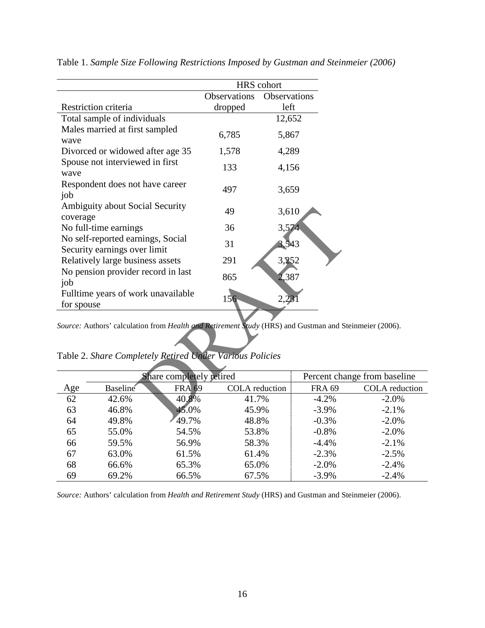|                                                                   |                                                                                         |               | HRS cohort            |              |               |
|-------------------------------------------------------------------|-----------------------------------------------------------------------------------------|---------------|-----------------------|--------------|---------------|
|                                                                   |                                                                                         |               | Observations          | Observations |               |
|                                                                   | Restriction criteria                                                                    |               | dropped               | left         |               |
|                                                                   | Total sample of individuals                                                             |               |                       | 12,652       |               |
|                                                                   | Males married at first sampled                                                          |               | 6,785                 | 5,867        |               |
| wave                                                              |                                                                                         |               |                       |              |               |
|                                                                   | Divorced or widowed after age 35                                                        |               | 1,578                 | 4,289        |               |
| wave                                                              | Spouse not interviewed in first                                                         |               | 133                   | 4,156        |               |
| job                                                               | Respondent does not have career                                                         |               | 497                   | 3,659        |               |
| coverage                                                          | Ambiguity about Social Security                                                         |               | 49                    | 3,610        |               |
|                                                                   | No full-time earnings                                                                   |               | 36                    | 3,574        |               |
| No self-reported earnings, Social<br>Security earnings over limit |                                                                                         |               | 31                    | 3,543        |               |
| Relatively large business assets                                  |                                                                                         |               | 291                   | 3,252        |               |
| No pension provider record in last<br>job                         |                                                                                         |               | 865                   | 2,387        |               |
| Fulltime years of work unavailable                                |                                                                                         |               | 156                   | 2,23         |               |
| for spouse                                                        |                                                                                         |               |                       |              |               |
|                                                                   | Source: Authors' calculation from Health and Retirement Study (HRS) and Gustman and Ste |               |                       |              |               |
|                                                                   | Table 2. Share Completely Retired Under Various Policies                                |               |                       |              |               |
|                                                                   | Share completely retired                                                                |               |                       |              | Percent char  |
| Age                                                               | <b>Baseline</b> ®                                                                       | <b>FRA 69</b> | <b>COLA</b> reduction |              | <b>FRA 69</b> |
| 62                                                                | 42.6%                                                                                   | 40.8%         | 41.7%                 |              | $-4.2%$       |
| 63                                                                | 46.8%                                                                                   | 45.0%         | 45.9%                 |              | $-3.9%$       |
| 64                                                                | 49.8%                                                                                   | $\Delta$ Q 7% | 48.8%                 |              | -0.3%         |

Table 1. *Sample Size Following Restrictions Imposed by Gustman and Steinmeier (2006)*

*Source:* Authors' calculation from *Health and Retirement Study* (HRS) and Gustman and Steinmeier (2006).

| Table 2. Share Completely Retired Under Various Policies |  |  |
|----------------------------------------------------------|--|--|
|----------------------------------------------------------|--|--|

| Share completely retired |                       |               | Percent change from baseline |               |                       |
|--------------------------|-----------------------|---------------|------------------------------|---------------|-----------------------|
| Age                      | Baseline <sup>®</sup> | <b>FRA 69</b> | <b>COLA</b> reduction        | <b>FRA 69</b> | <b>COLA</b> reduction |
| 62                       | 42.6%                 | 40.8%         | 41.7%                        | $-4.2%$       | $-2.0\%$              |
| 63                       | 46.8%                 | 45.0%         | 45.9%                        | $-3.9\%$      | $-2.1\%$              |
| 64                       | 49.8%                 | 49.7%         | 48.8%                        | $-0.3\%$      | $-2.0\%$              |
| 65                       | 55.0%                 | 54.5%         | 53.8%                        | $-0.8%$       | $-2.0%$               |
| 66                       | 59.5%                 | 56.9%         | 58.3%                        | $-4.4%$       | $-2.1\%$              |
| 67                       | 63.0%                 | 61.5%         | 61.4%                        | $-2.3%$       | $-2.5%$               |
| 68                       | 66.6%                 | 65.3%         | 65.0%                        | $-2.0%$       | $-2.4%$               |
| 69                       | 69.2%                 | 66.5%         | 67.5%                        | $-3.9%$       | $-2.4%$               |

*Source:* Authors' calculation from *Health and Retirement Study* (HRS) and Gustman and Steinmeier (2006).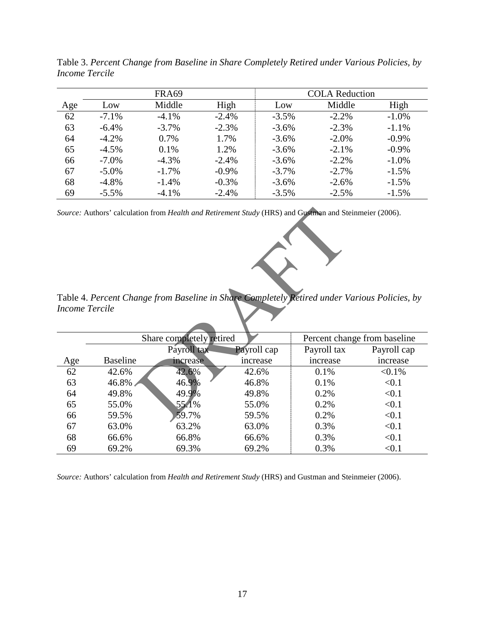|     | FRA69    |          |          | <b>COLA Reduction</b> |          |          |
|-----|----------|----------|----------|-----------------------|----------|----------|
| Age | Low      | Middle   | High     | Low                   | Middle   | High     |
| 62  | $-7.1\%$ | $-4.1\%$ | $-2.4%$  | $-3.5\%$              | $-2.2%$  | $-1.0%$  |
| 63  | $-6.4%$  | $-3.7%$  | $-2.3%$  | $-3.6%$               | $-2.3%$  | $-1.1%$  |
| 64  | $-4.2\%$ | 0.7%     | 1.7%     | $-3.6%$               | $-2.0\%$ | $-0.9\%$ |
| 65  | $-4.5\%$ | 0.1%     | 1.2%     | $-3.6\%$              | $-2.1%$  | $-0.9\%$ |
| 66  | $-7.0\%$ | $-4.3\%$ | $-2.4%$  | $-3.6%$               | $-2.2%$  | $-1.0\%$ |
| 67  | $-5.0\%$ | $-1.7\%$ | $-0.9\%$ | $-3.7\%$              | $-2.7\%$ | $-1.5\%$ |
| 68  | $-4.8\%$ | $-1.4%$  | $-0.3%$  | $-3.6%$               | $-2.6\%$ | $-1.5%$  |
| 69  | $-5.5\%$ | $-4.1%$  | $-2.4%$  | $-3.5%$               | $-2.5\%$ | $-1.5%$  |

Table 3. *Percent Change from Baseline in Share Completely Retired under Various Policies, by Income Tercile*

Table 4. *Percent Change from Baseline in Share Completely Retired under Various Policies, by Income Tercile*

| Source: Authors' calculation from Health and Retirement Study (HRS) and Gustman and Steinmeier (2006).<br>Table 4. Percent Change from Baseline in Share Completely Retired under Various Policies, by |                 |                          |             |             |                              |
|--------------------------------------------------------------------------------------------------------------------------------------------------------------------------------------------------------|-----------------|--------------------------|-------------|-------------|------------------------------|
|                                                                                                                                                                                                        |                 |                          |             |             |                              |
| <b>Income Tercile</b>                                                                                                                                                                                  |                 |                          |             |             |                              |
|                                                                                                                                                                                                        |                 |                          |             |             |                              |
|                                                                                                                                                                                                        |                 | Share completely retired |             |             | Percent change from baseline |
|                                                                                                                                                                                                        |                 | Payroll tax              | Payroll cap | Payroll tax | Payroll cap                  |
| Age                                                                                                                                                                                                    | <b>Baseline</b> | increase                 | increase    | increase    | increase                     |
| 62                                                                                                                                                                                                     | 42.6%           | 42.6%                    | 42.6%       | 0.1%        | $< 0.1\%$                    |
| 63                                                                                                                                                                                                     | 46.8%           | 46.9%                    | 46.8%       | 0.1%        | < 0.1                        |
| 64                                                                                                                                                                                                     | 49.8%           | 49.9%                    | 49.8%       | 0.2%        | < 0.1                        |
| 65                                                                                                                                                                                                     | 55.0%           | 55.1%                    | 55.0%       | 0.2%        | < 0.1                        |
| 66                                                                                                                                                                                                     | 59.5%           | 59.7%                    | 59.5%       | 0.2%        | < 0.1                        |
| 67                                                                                                                                                                                                     | 63.0%           | 63.2%                    | 63.0%       | 0.3%        | < 0.1                        |
| 68                                                                                                                                                                                                     | 66.6%           | 66.8%                    | 66.6%       | 0.3%        | < 0.1                        |
| 69                                                                                                                                                                                                     | 69.2%           | 69.3%                    | 69.2%       | 0.3%        | < 0.1                        |

*Source:* Authors' calculation from *Health and Retirement Study* (HRS) and Gustman and Steinmeier (2006).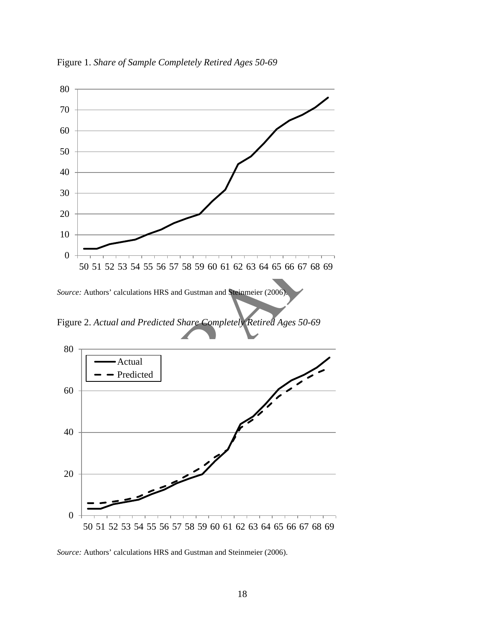

Figure 1. *Share of Sample Completely Retired Ages 50-69* 



Figure 2. *Actual and Predicted Share Completely Retired Ages 50-69* 



*Source:* Authors' calculations HRS and Gustman and Steinmeier (2006).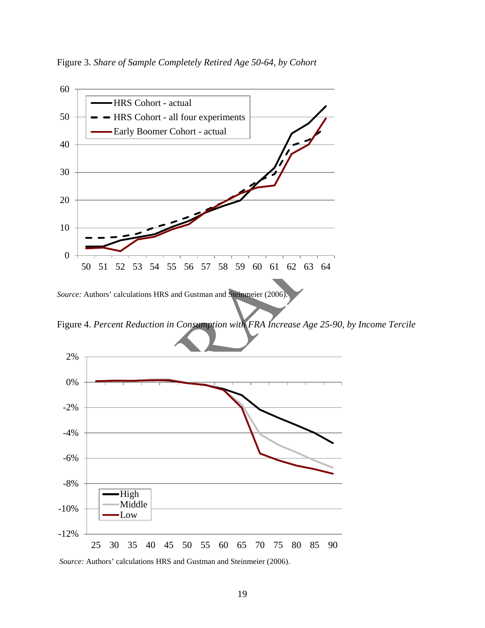Figure 3. *Share of Sample Completely Retired Age 50-64, by Cohort* 



Figure 4. *Percent Reduction in Consumption with FRA Increase Age 25-90, by Income Tercile*



*Source:* Authors' calculations HRS and Gustman and Steinmeier (2006).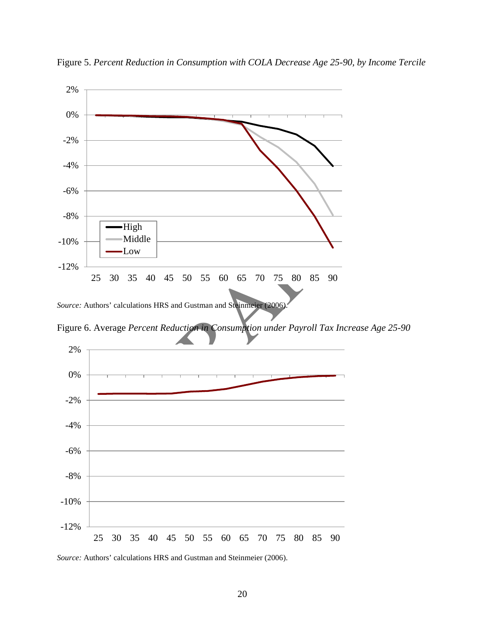

Figure 5. *Percent Reduction in Consumption with COLA Decrease Age 25-90, by Income Tercile* 



*Source:* Authors' calculations HRS and Gustman and Steinmeier (2006).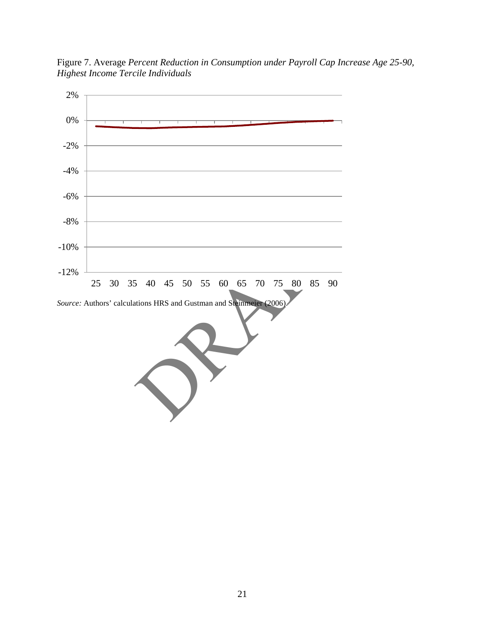Figure 7. Average *Percent Reduction in Consumption under Payroll Cap Increase Age 25-90, Highest Income Tercile Individuals*